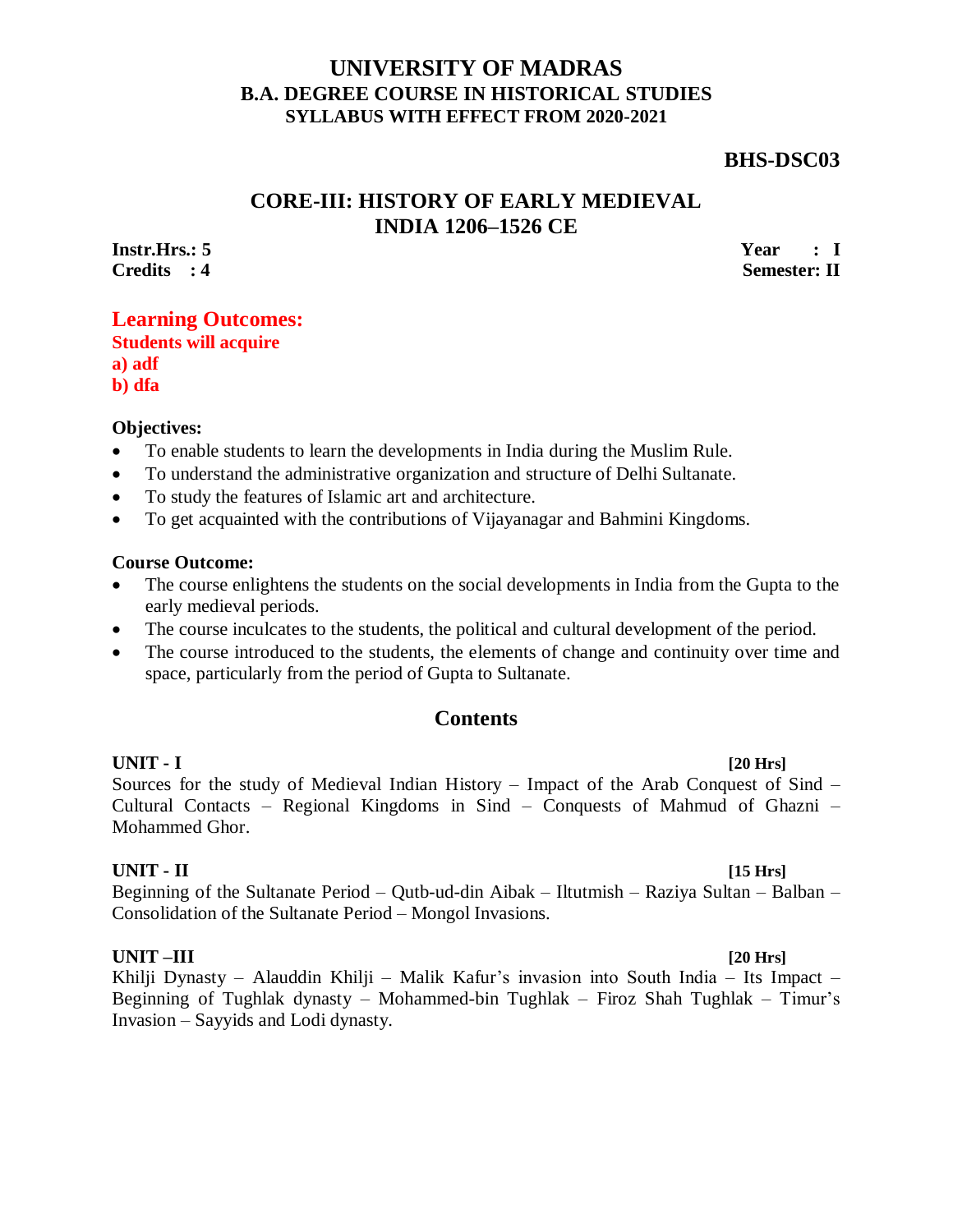## **UNIVERSITY OF MADRAS B.A. DEGREE COURSE IN HISTORICAL STUDIES SYLLABUS WITH EFFECT FROM 2020-2021**

## **BHS-DSC03**

# **CORE-III: HISTORY OF EARLY MEDIEVAL INDIA 1206–1526 CE**

**Instr.Hrs.: 5 Credits : 4** **Year : I Semester: II**

## **Learning Outcomes: Students will acquire a) adf**

**b) dfa**

### **Objectives:**

- To enable students to learn the developments in India during the Muslim Rule.
- To understand the administrative organization and structure of Delhi Sultanate.
- To study the features of Islamic art and architecture.
- To get acquainted with the contributions of Vijayanagar and Bahmini Kingdoms.

### **Course Outcome:**

- The course enlightens the students on the social developments in India from the Gupta to the early medieval periods.
- The course inculcates to the students, the political and cultural development of the period.
- The course introduced to the students, the elements of change and continuity over time and space, particularly from the period of Gupta to Sultanate.

## **Contents**

## **UNIT - I [20 Hrs]**

Sources for the study of Medieval Indian History – Impact of the Arab Conquest of Sind – Cultural Contacts – Regional Kingdoms in Sind – Conquests of Mahmud of Ghazni – Mohammed Ghor.

### **UNIT - II [15 Hrs]**

Beginning of the Sultanate Period – Qutb-ud-din Aibak – Iltutmish – Raziya Sultan – Balban – Consolidation of the Sultanate Period – Mongol Invasions.

### **UNIT –III [20 Hrs]**

Khilji Dynasty – Alauddin Khilji – Malik Kafur's invasion into South India – Its Impact – Beginning of Tughlak dynasty – Mohammed-bin Tughlak – Firoz Shah Tughlak – Timur's Invasion – Sayyids and Lodi dynasty.